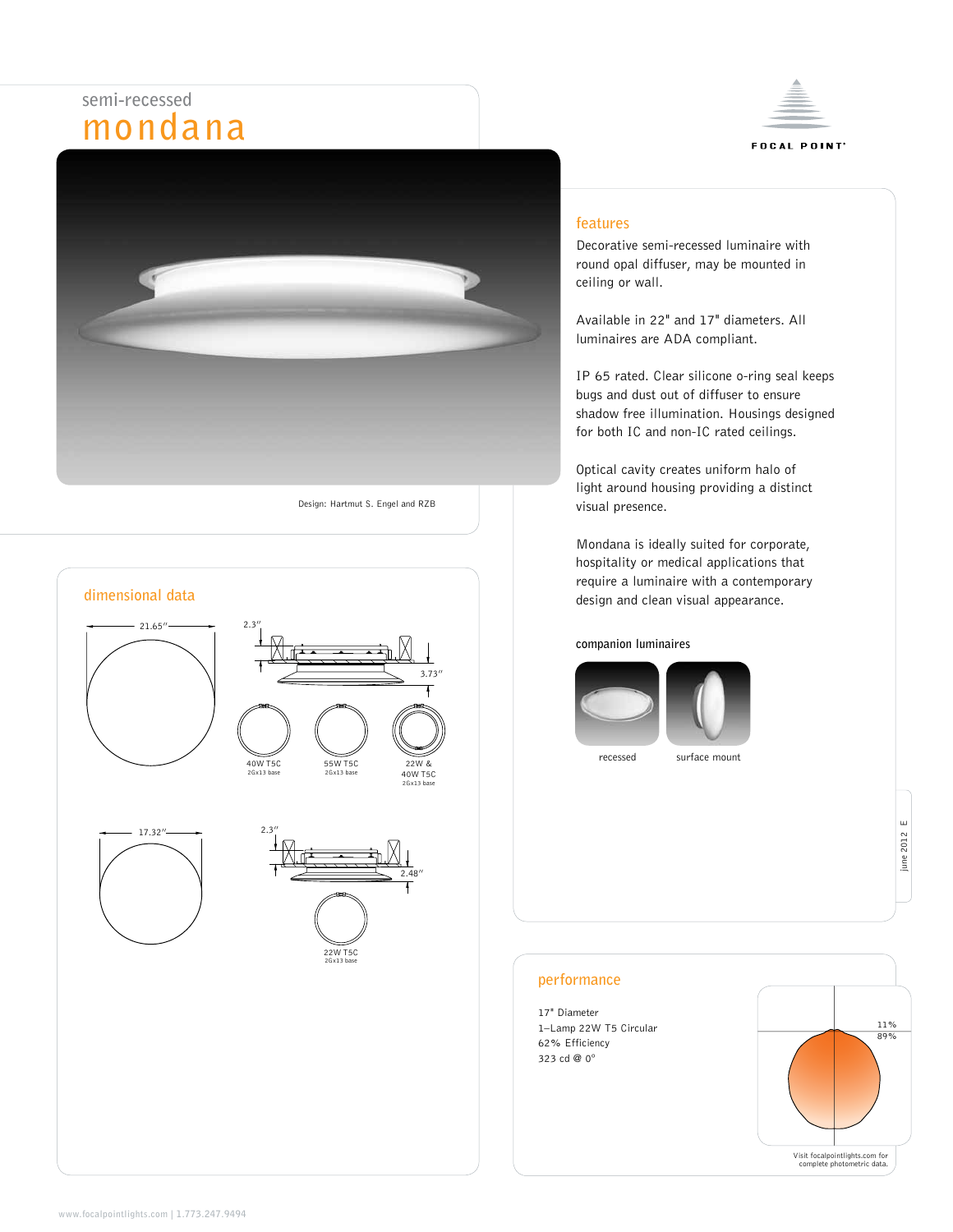# **semi-recessed mondana**





Design: Hartmut S. Engel and RZB

**dimensional data**

# **features**

Decorative semi-recessed luminaire with round opal diffuser, may be mounted in ceiling or wall.

Available in 22" and 17" diameters. All luminaires are ADA compliant.

IP 65 rated. Clear silicone o-ring seal keeps bugs and dust out of diffuser to ensure shadow free illumination. Housings designed for both IC and non-IC rated ceilings.

Optical cavity creates uniform halo of light around housing providing a distinct visual presence.

Mondana is ideally suited for corporate, hospitality or medical applications that require a luminaire with a contemporary design and clean visual appearance.

#### **companion luminaires**





recessed surface mount

# **performance**

17" Diameter 1–Lamp 22W T5 Circular 62% Efficiency 323 cd @ 0°

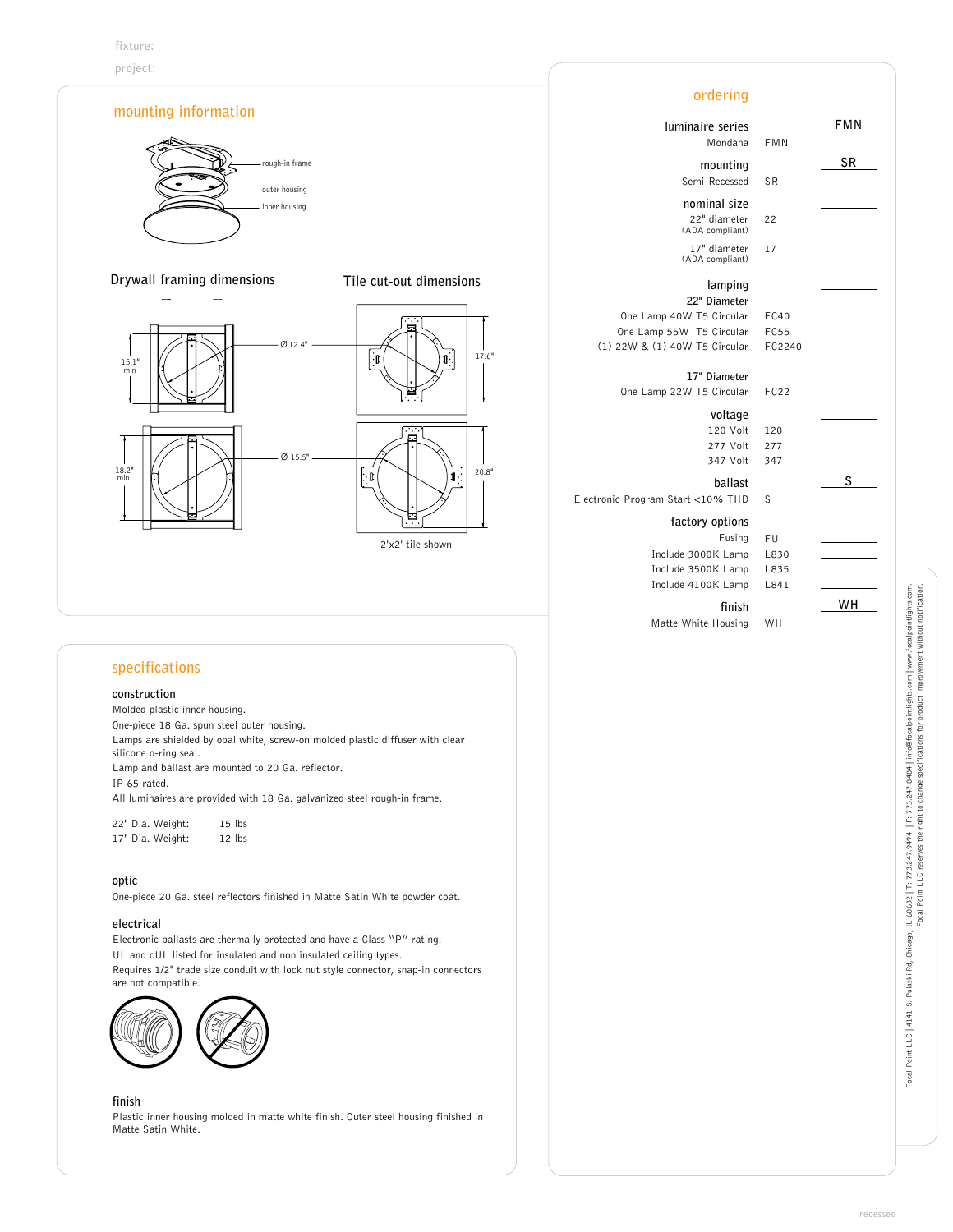

**project:** 



# **specifications**

#### **construction**

Molded plastic inner housing. One-piece 18 Ga. spun steel outer housing. Lamps are shielded by opal white, screw-on molded plastic diffuser with clear silicone o-ring seal. Lamp and ballast are mounted to 20 Ga. reflector. IP 65 rated. All luminaires are provided with 18 Ga. galvanized steel rough-in frame. 22" Dia. Weight: 15 lbs

17" Dia. Weight: 12 lbs

#### **optic**

One-piece 20 Ga. steel reflectors finished in Matte Satin White powder coat.

# **electrical**

Electronic ballasts are thermally protected and have a Class "P" rating. UL and cUL listed for insulated and non insulated ceiling types. Requires 1/2" trade size conduit with lock nut style connector, snap-in connectors are not compatible.



# **finish**

Plastic inner housing molded in matte white finish. Outer steel housing finished in Matte Satin White.

| iinaire series  |             | FMN |
|-----------------|-------------|-----|
| Mondana         | FMN         |     |
| mounting        |             | SR  |
| Semi-Recessed   | SR          |     |
| nominal size    |             |     |
| 22" diameter    | 22          |     |
| (ADA compliant) |             |     |
| 17" diameter    | 17          |     |
| (ADA compliant) |             |     |
| lamping         |             |     |
| 22" Diameter    |             |     |
| W T5 Circular   | FC40        |     |
| N T5 Circular   | <b>FC55</b> |     |
| W T5 Circular   | FC2240      |     |
| 17" Diameter    |             |     |
| W T5 Circular   | <b>FC22</b> |     |
| voltage         |             |     |
| 120 Volt        | 120         |     |
| 277 Volt        | 277         |     |
| 347 Volt        | 347         |     |
| ballast         |             | S   |
| rt <10% THD     | S           |     |
| ctory options   |             |     |
| Fusing          | FU          |     |
| 9 3000K Lamp    | L830        |     |
| 9 3500K Lamp    | L835        |     |
| 94100K Lamp     | L841        |     |
| finish          |             | WН  |
| White Housing   | WH          |     |

**ordering**

**factory options** Fusing

Include 3000K Lamp Include 3500K Lamp Include 4100K Lamp

Matte White Housing

One Lamp 40W T5 Circular One Lamp 55W T5 Circular (1) 22W & (1) 40W T5 Circular

One Lamp 22W T5 Circular

Electronic Program Start <10% THD

**luminaire series** Mondana  $m$ ounting Semi-Recessed **nominal size** 22" diameter (ADA compliant)